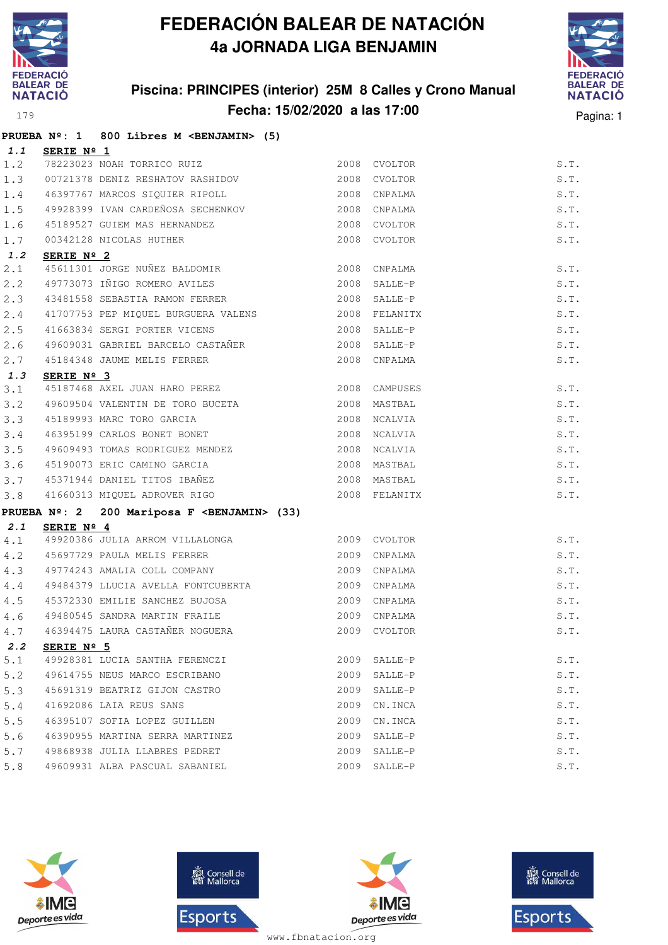

### **Piscina: PRINCIPES (interior) 25M 8 Calles y Crono Manual Fecha: 15/02/2020 a las 17:00** Pagina: 1



|     |                     | PRUEBA Nº: 1 800 Libres M <benjamin> (5)</benjamin>              |                |               |      |
|-----|---------------------|------------------------------------------------------------------|----------------|---------------|------|
|     | 1.1 SERIE Nº 1      |                                                                  |                |               |      |
|     |                     | 1.2 78223023 NOAH TORRICO RUIZ 2008 CVOLTOR                      |                |               | S.T. |
| 1.3 |                     | 00721378 DENIZ RESHATOV RASHIDOV                                 |                | 2008 CVOLTOR  | S.T. |
| 1.4 |                     | 46397767 MARCOS SIQUIER RIPOLL 2008 CNPALMA                      |                |               | S.T. |
|     |                     | 1.5 49928399 IVAN CARDEÑOSA SECHENKOV 2008 CNPALMA               |                |               | S.T. |
| 1.6 |                     | 45189527 GUIEM MAS HERNANDEZ<br>00342128 NICOLAS HUTHER          |                | 2008 CVOLTOR  | S.T. |
| 1.7 |                     |                                                                  |                | 2008 CVOLTOR  | S.T. |
| 1.2 | SERIE $N^{\circ}$ 2 |                                                                  |                |               |      |
| 2.1 |                     | 45611301 JORGE NUÑEZ BALDOMIR 2008 CNPALMA                       |                |               | S.T. |
| 2.2 |                     | 49773073 IÑIGO ROMERO AVILES 2008 SALLE-P                        |                |               | S.T. |
| 2.3 |                     | 43481558 SEBASTIA RAMON FERRER                                   |                | 2008 SALLE-P  | S.T. |
| 2.4 |                     |                                                                  |                |               | S.T. |
| 2.5 |                     | 41663834 SERGI PORTER VICENS                                     | $2008$ SALLE-P |               | S.T. |
| 2.6 |                     |                                                                  |                |               | S.T. |
| 2.7 |                     |                                                                  |                |               | S.T. |
| 1.3 | SERIE Nº 3          |                                                                  |                |               |      |
| 3.1 |                     | 45187468 AXEL JUAN HARO PEREZ 2008 CAMPUSES                      |                |               | S.T. |
| 3.2 |                     |                                                                  |                |               | S.T. |
| 3.3 |                     | 45189993 MARC TORO GARCIA<br>46395199 CARLOS BONET BONET         |                | 2008 NCALVIA  | S.T. |
| 3.4 |                     |                                                                  |                | 2008 NCALVIA  | S.T. |
| 3.5 |                     | 49609493 TOMAS RODRIGUEZ MENDEZ 2008 NCALVIA                     |                |               | S.T. |
| 3.6 |                     | 45190073 ERIC CAMINO GARCIA 2008 MASTBAL                         |                |               | S.T. |
|     |                     | 3.7 45371944 DANIEL TITOS IBAÑEZ (2008 MASTBAL                   |                |               | S.T. |
| 3.8 |                     | 41660313 MIQUEL ADROVER RIGO                                     |                | 2008 FELANITX | S.T. |
|     |                     | PRUEBA Nº: 2 200 Mariposa F <benjamin> (33)</benjamin>           |                |               |      |
|     | 2.1 SERIE Nº 4      |                                                                  |                |               |      |
|     |                     |                                                                  |                |               | S.T. |
|     |                     |                                                                  |                |               | S.T. |
|     |                     |                                                                  |                |               | S.T. |
|     |                     | 4.4 49484379 LLUCIA AVELLA FONTCUBERTA 2009 CNPALMA              |                |               | S.T. |
| 4.5 |                     | 45372330 EMILIE SANCHEZ BUJOSA 2009 CNPALMA                      |                |               | S.T. |
| 4.6 |                     | 49480545 SANDRA MARTIN FRAILE<br>46394475 LAURA CASTAÑER NOGUERA |                | 2009 CNPALMA  | S.T. |
| 4.7 |                     |                                                                  |                | 2009 CVOLTOR  | S.T. |
| 2.2 | SERIE Nº 5          | 49928381 LUCIA SANTHA FERENCZI                                   | 2009           |               |      |
| 5.1 |                     |                                                                  |                | SALLE-P       | S.T. |
| 5.2 |                     | 49614755 NEUS MARCO ESCRIBANO                                    | 2009           | SALLE-P       | S.T. |
| 5.3 |                     | 45691319 BEATRIZ GIJON CASTRO                                    | 2009           | SALLE-P       | S.T. |
| 5.4 |                     | 41692086 LAIA REUS SANS                                          | 2009           | CN.INCA       | S.T. |
| 5.5 |                     | 46395107 SOFIA LOPEZ GUILLEN                                     | 2009           | CN.INCA       | S.T. |
| 5.6 |                     | 46390955 MARTINA SERRA MARTINEZ                                  | 2009           | SALLE-P       | S.T. |
| 5.7 |                     | 49868938 JULIA LLABRES PEDRET                                    | 2009           | SALLE-P       | S.T. |
| 5.8 |                     | 49609931 ALBA PASCUAL SABANIEL                                   | 2009           | SALLE-P       | S.T. |







**感** Consell de Esports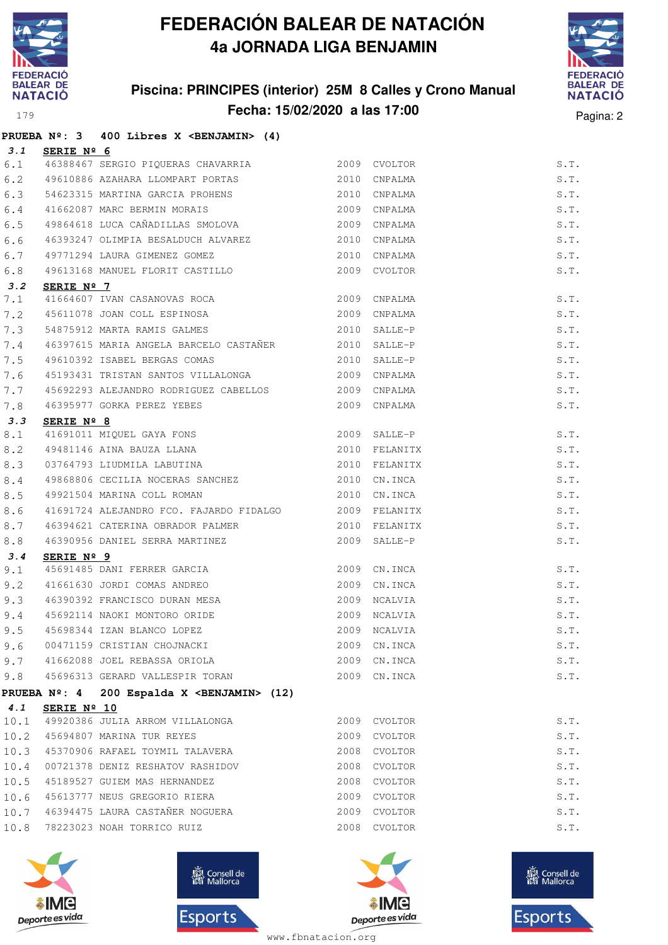

#### **Piscina: PRINCIPES (interior) 25M 8 Calles y Crono Manual Fecha: 15/02/2020 a las 17:00** Pagina: 2



|      |             | PRUEBA Nº: 3 400 Libres X <benjamin> (4)</benjamin>                                                                   |               |               |      |
|------|-------------|-----------------------------------------------------------------------------------------------------------------------|---------------|---------------|------|
| 3.1  | SERIE Nº 6  |                                                                                                                       |               |               |      |
|      |             | 6.1 46388467 SERGIO PIQUERAS CHAVARRIA 6.1 2009 CVOLTOR                                                               |               |               | S.T. |
| 6.2  |             | 49610886 AZAHARA LLOMPART PORTAS 2010 CNPALMA                                                                         |               |               | S.T. |
| 6.3  |             | 54623315 MARTINA GARCIA PROHENS                                                                                       |               | 2010 CNPALMA  | S.T. |
| 6.4  |             | 41662087 MARC BERMIN MORAIS                                                                                           | 2009 CNPALMA  |               | S.T. |
| 6.5  |             | 49864618 LUCA CAÑADILLAS SMOLOVA 2009                                                                                 |               | CNPALMA       | S.T. |
| 6.6  |             | 46393247 OLIMPIA BESALDUCH ALVAREZ                                                                                    | 2010          | CNPALMA       | S.T. |
| 6.7  |             | 49771294 LAURA GIMENEZ GOMEZ 2010                                                                                     |               | CNPALMA       | S.T. |
| 6.8  |             |                                                                                                                       |               |               | S.T. |
| 3.2  | SERIE Nº 7  |                                                                                                                       |               |               |      |
| 7.1  |             | 41664607 IVAN CASANOVAS ROCA 2009 CNPALMA                                                                             |               |               | S.T. |
| 7.2  |             | 41664607 IVAN CACANOVIC NOCES<br>45611078 JOAN COLL ESPINOSA 2009 CNPALMA<br>54875912 MARTA RAMIS GALMES 2010 SALLE-P |               |               | S.T. |
| 7.3  |             |                                                                                                                       |               |               | S.T. |
| 7.4  |             | 46397615 MARIA ANGELA BARCELO CASTAÑER 2010 SALLE-P                                                                   |               |               | S.T. |
| 7.5  |             | 49610392 ISABEL BERGAS COMAS 2010                                                                                     |               | SALLE-P       | S.T. |
| 7.6  |             | 45193431 TRISTAN SANTOS VILLALONGA                                                                                    |               | 2009 CNPALMA  | S.T. |
| 7.7  |             | 45692293 ALEJANDRO RODRIGUEZ CABELLOS 2009                                                                            |               | CNPALMA       | S.T. |
| 7.8  |             | 46395977 GORKA PEREZ YEBES                                                                                            | 2009 CNPALMA  |               | S.T. |
| 3.3  | SERIE Nº 8  |                                                                                                                       |               |               |      |
| 8.1  |             |                                                                                                                       |               |               | S.T. |
| 8.2  |             |                                                                                                                       |               | 2010 FELANITX | S.T. |
| 8.3  |             | 03764793 LIUDMILA LABUTINA                                                                                            | 2010 FELANITX |               | S.T. |
| 8.4  |             | 49868806 CECILIA NOCERAS SANCHEZ 2010 CN.INCA                                                                         |               |               | S.T. |
| 8.5  |             | 49921504 MARINA COLL ROMAN                                                                                            | 2010          | CN.INCA       | S.T. |
| 8.6  |             | 41691724 ALEJANDRO FCO. FAJARDO FIDALGO<br>2009 FELANITX                                                              |               |               | S.T. |
| 8.7  |             | 46394621 CATERINA OBRADOR PALMER 2010 FELANITX                                                                        |               |               | S.T. |
| 8.8  |             | 46390956 DANIEL SERRA MARTINEZ 2009                                                                                   |               | SALLE-P       | S.T. |
| 3.4  | SERIE Nº 9  |                                                                                                                       |               |               |      |
| 9.1  |             | 45691485 DANI FERRER GARCIA (2009 CN.INCA)<br>41661630 JORDI COMAS ANDREO (2009 CN.INCA                               |               |               | S.T. |
| 9.2  |             |                                                                                                                       |               |               | S.T. |
| 9.3  |             | 46390392 FRANCISCO DURAN MESA                                                                                         | 2009 NCALVIA  |               | S.T. |
| 9.4  |             | 45692114 NAOKI MONTORO ORIDE                                                                                          |               | 2009 NCALVIA  | S.T. |
|      |             | 9.5 45698344 IZAN BLANCO LOPEZ 2009 NCALVIA                                                                           |               |               | S.T. |
| 9.6  |             | 00471159 CRISTIAN CHOJNACKI                                                                                           |               | 2009 CN. INCA | S.T. |
|      |             | 9.7 41662088 JOEL REBASSA ORIOLA                                                                                      | 2009          | CN.INCA       | S.T. |
| 9.8  |             | 45696313 GERARD VALLESPIR TORAN                                                                                       | 2009          | CN.INCA       | S.T. |
|      |             | PRUEBA Nº: 4 200 Espalda X < BENJAMIN> (12)                                                                           |               |               |      |
| 4.1  | SERIE Nº 10 |                                                                                                                       |               |               |      |
| 10.1 |             | 49920386 JULIA ARROM VILLALONGA                                                                                       |               | 2009 CVOLTOR  | S.T. |
| 10.2 |             | 45694807 MARINA TUR REYES                                                                                             | 2009          | CVOLTOR       | S.T. |
| 10.3 |             | 45370906 RAFAEL TOYMIL TALAVERA                                                                                       |               | 2008 CVOLTOR  | S.T. |
| 10.4 |             | 00721378 DENIZ RESHATOV RASHIDOV                                                                                      |               | 2008 CVOLTOR  | S.T. |
| 10.5 |             | 45189527 GUIEM MAS HERNANDEZ                                                                                          | 2008          | CVOLTOR       | S.T. |
| 10.6 |             | 45613777 NEUS GREGORIO RIERA                                                                                          | 2009          | CVOLTOR       | S.T. |
| 10.7 |             | 46394475 LAURA CASTAÑER NOGUERA                                                                                       |               | 2009 CVOLTOR  | S.T. |
| 10.8 |             | 78223023 NOAH TORRICO RUIZ                                                                                            |               | 2008 CVOLTOR  | S.T. |
|      |             |                                                                                                                       |               |               |      |







**感** Consell de Esports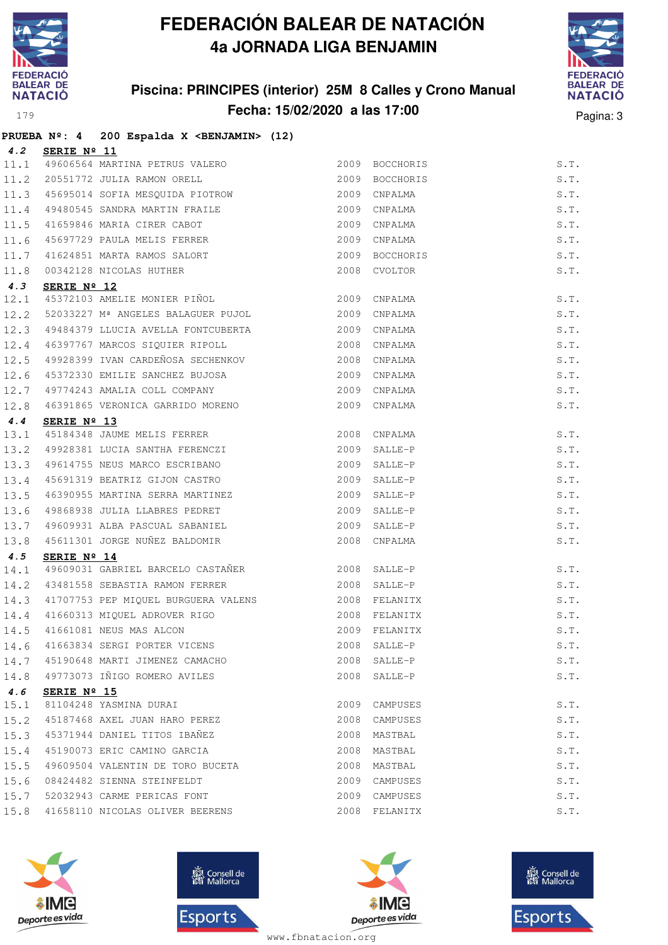

#### **Piscina: PRINCIPES (interior) 25M 8 Calles y Crono Manual Fecha: 15/02/2020 a las 17:00** Pagina: 3



|      |             | PRUEBA Nº: 4 200 Espalda X < BENJAMIN> (12)                                                    |                |               |                    |
|------|-------------|------------------------------------------------------------------------------------------------|----------------|---------------|--------------------|
| 4.2  | SERIE Nº 11 |                                                                                                |                |               |                    |
|      |             | 11.1 49606564 MARTINA PETRUS VALERO                                                            | 2009 BOCCHORIS |               | S.T.               |
| 11.2 |             | 20551772 JULIA RAMON ORELL                                                                     | 2009           | BOCCHORIS     | S.T.               |
|      |             | 11.3 45695014 SOFIA MESQUIDA PIOTROW                                                           | 2009           | CNPALMA       | S.T.               |
| 11.4 |             |                                                                                                |                | 2009 CNPALMA  | S.T.               |
| 11.5 |             | 45695014 SOFIA MESQUIDA LIVING.<br>49480545 SANDRA MARTIN FRAILE<br>41659846 MARIA CIRER CABOT | 2009           | CNPALMA       | S.T.               |
| 11.6 |             | 45697729 PAULA MELIS FERRER                                                                    | 2009           | CNPALMA       | S.T.               |
| 11.7 |             | 41624851 MARTA RAMOS SALORT                                                                    | 2009           | BOCCHORIS     | S.T.               |
| 11.8 |             | 00342128 NICOLAS HUTHER                                                                        |                | 2008 CVOLTOR  | S.T.               |
| 4.3  | SERIE Nº 12 |                                                                                                |                |               |                    |
| 12.1 |             | 45372103 AMELIE MONIER PIÑOL                                                                   |                | 2009 CNPALMA  | S.T.               |
| 12.2 |             | 52033227 Mª ANGELES BALAGUER PUJOL                                                             | 2009           | CNPALMA       | S.T.               |
| 12.3 |             | 49484379 LLUCIA AVELLA FONTCUBERTA                                                             |                | 2009 CNPALMA  | S.T.               |
| 12.4 |             | 46397767 MARCOS SIQUIER RIPOLL                                                                 | 2008           | CNPALMA       | S.T.               |
| 12.5 |             | 49928399 IVAN CARDEÑOSA SECHENKOV 2008                                                         |                | CNPALMA       | S.T.               |
| 12.6 |             | 45372330 EMILIE SANCHEZ BUJOSA                                                                 | 2009           | CNPALMA       | S.T.               |
| 12.7 |             | 49774243 AMALIA COLL COMPANY                                                                   | 2009           | CNPALMA       | S.T.               |
| 12.8 |             | 46391865 VERONICA GARRIDO MORENO                                                               |                | 2009 CNPALMA  | S.T.               |
| 4.4  | SERIE Nº 13 |                                                                                                |                |               |                    |
| 13.1 |             | 45184348 JAUME MELIS FERRER                                                                    |                | 2008 CNPALMA  | S.T.               |
| 13.2 |             | 49928381 LUCIA SANTHA FERENCZI                                                                 | 2009           | SALLE-P       | S.T.               |
| 13.3 |             | 49614755 NEUS MARCO ESCRIBANO                                                                  |                | 2009 SALLE-P  | S.T.               |
| 13.4 |             | 45691319 BEATRIZ GIJON CASTRO                                                                  |                | 2009 SALLE-P  | S.T.               |
| 13.5 |             | 46390955 MARTINA SERRA MARTINEZ                                                                |                | 2009 SALLE-P  | S.T.               |
| 13.6 |             | 49868938 JULIA LLABRES PEDRET                                                                  | 2009           | SALLE-P       | S.T.               |
| 13.7 |             | 49609931 ALBA PASCUAL SABANIEL                                                                 | 2009           | SALLE-P       | S.T.               |
| 13.8 |             | 45611301 JORGE NUÑEZ BALDOMIR                                                                  |                | 2008 CNPALMA  | S.T.               |
| 4.5  | SERIE Nº 14 |                                                                                                |                |               |                    |
| 14.1 |             | 49609031 GABRIEL BARCELO CASTAÑER                                                              |                | 2008 SALLE-P  | S.T.               |
| 14.2 |             | 43481558 SEBASTIA RAMON FERRER 2008                                                            |                | SALLE-P       | S.T.               |
| 14.3 |             | 41707753 PEP MIQUEL BURGUERA VALENS                                                            |                | 2008 FELANITX | S.T.               |
| 14.4 |             | 41660313 MIQUEL ADROVER RIGO                                                                   |                | 2008 FELANITX | S.T.               |
|      |             | 14.5 41661081 NEUS MAS ALCON                                                                   |                | 2009 FELANITX | S.T.               |
|      |             | 14.6 41663834 SERGI PORTER VICENS                                                              |                | 2008 SALLE-P  | S.T.               |
| 14.7 |             | 45190648 MARTI JIMENEZ CAMACHO                                                                 |                | 2008 SALLE-P  | S.T.               |
| 14.8 |             | 49773073 IÑIGO ROMERO AVILES                                                                   |                | 2008 SALLE-P  | S.T.               |
| 4.6  | SERIE Nº 15 |                                                                                                |                |               |                    |
| 15.1 |             | 81104248 YASMINA DURAI                                                                         | 2009           | CAMPUSES      | $\texttt{S}$ . T . |
| 15.2 |             | 45187468 AXEL JUAN HARO PEREZ                                                                  | 2008           | CAMPUSES      | S.T.               |
| 15.3 |             | 45371944 DANIEL TITOS IBAÑEZ                                                                   | 2008           | MASTBAL       | S.T.               |
| 15.4 |             | 45190073 ERIC CAMINO GARCIA                                                                    | 2008           | MASTBAL       | S.T.               |
| 15.5 |             | 49609504 VALENTIN DE TORO BUCETA                                                               | 2008           | MASTBAL       | S.T.               |
| 15.6 |             | 08424482 SIENNA STEINFELDT                                                                     | 2009           | CAMPUSES      | S.T.               |
| 15.7 |             | 52032943 CARME PERICAS FONT                                                                    | 2009           | CAMPUSES      | S.T.               |
| 15.8 |             | 41658110 NICOLAS OLIVER BEERENS                                                                |                | 2008 FELANITX | S.T.               |
|      |             |                                                                                                |                |               |                    |







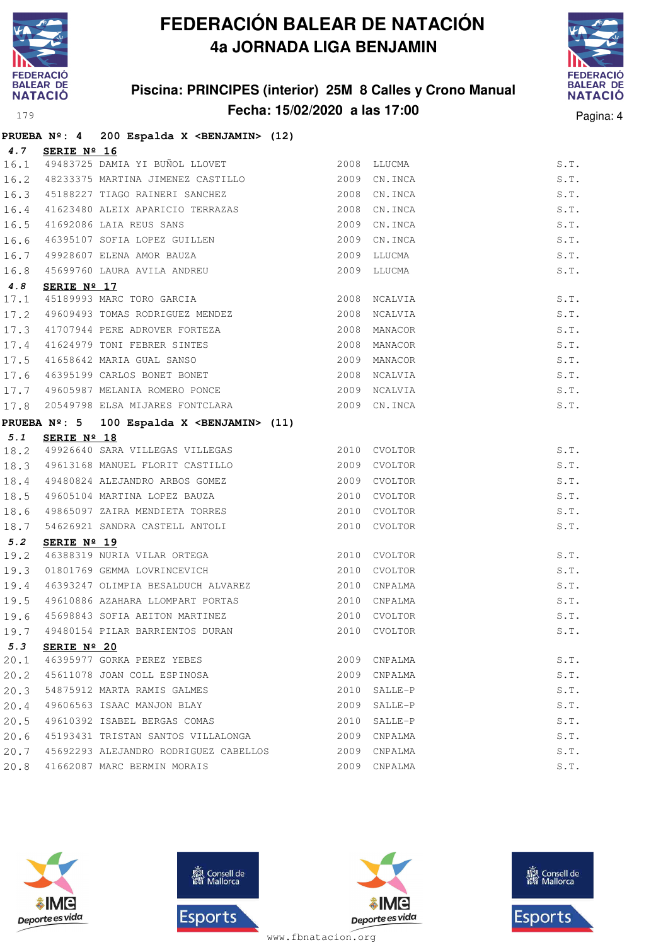

#### **Piscina: PRINCIPES (interior) 25M 8 Calles y Crono Manual Fecha: 15/02/2020 a las 17:00** Pagina: 4



|      |                 | PRUEBA Nº: 4 200 Espalda X <benjamin> (12)</benjamin>                                                                                         |              |              |      |
|------|-----------------|-----------------------------------------------------------------------------------------------------------------------------------------------|--------------|--------------|------|
|      | 4.7 SERIE Nº 16 |                                                                                                                                               |              |              |      |
|      |                 | 16.1 49483725 DAMIA YI BUÑOL LLOVET 2008 LLUCMA                                                                                               |              |              | S.T. |
|      |                 | 16.2 48233375 MARTINA JIMENEZ CASTILLO 2009 CN.INCA                                                                                           |              |              | S.T. |
|      |                 | 16.3 45188227 TIAGO RAINERI SANCHEZ 2008 CN.INCA                                                                                              |              |              | S.T. |
|      |                 | 16.4 41623480 ALEIX APARICIO TERRAZAS                                                                                                         |              | 2008 CN.INCA | S.T. |
|      |                 | 16.5 41692086 LAIA REUS SANS 2009 CN.INCA<br>16.6 46395107 SOFIA LOPEZ GUILLEN 2009 CN.INCA                                                   |              | 2009 CN.INCA | S.T. |
|      |                 |                                                                                                                                               |              |              | S.T. |
|      |                 |                                                                                                                                               |              | 2009 LLUCMA  | S.T. |
|      |                 | 16.7 49928607 ELENA AMOR BAUZA<br>16.8 45699760 LAURA AVILA ANDREU                                                                            |              | 2009 LLUCMA  | S.T. |
| 4.8  | SERIE Nº 17     |                                                                                                                                               |              |              |      |
|      |                 | 17.1 45189993 MARC TORO GARCIA 2008 NCALVIA                                                                                                   |              |              | S.T. |
|      |                 | 17.2 49609493 TOMAS RODRIGUEZ MENDEZ 2008                                                                                                     |              | NCALVIA      | S.T. |
|      |                 | 17.3 41707944 PERE ADROVER FORTEZA 2008 MANACOR                                                                                               |              |              | S.T. |
|      |                 | 17.4 41624979 TONI FEBRER SINTES 2008 MANACOR<br>17.5 41658642 MARIA GUAL SANSO 2009 MANACOR<br>17.6 46395199 CARLOS BONET BONET 2008 NCALVIA |              |              | S.T. |
|      |                 |                                                                                                                                               |              |              | S.T. |
|      |                 |                                                                                                                                               |              |              | S.T. |
|      |                 | 17.7 49605987 MELANIA ROMERO PONCE 2009 NCALVIA                                                                                               |              |              | S.T. |
| 17.8 |                 | 20549798 ELSA MIJARES FONTCLARA 2009 CN.INCA                                                                                                  |              |              | S.T. |
|      |                 | PRUEBA Nº: 5 100 Espalda X <benjamin> (11)</benjamin>                                                                                         |              |              |      |
| 5.1  | SERIE Nº 18     |                                                                                                                                               |              |              |      |
|      |                 | 18.2 49926640 SARA VILLEGAS VILLEGAS 2010 CVOLTOR                                                                                             |              |              | S.T. |
|      |                 | 18.3 49613168 MANUEL FLORIT CASTILLO 2009 CVOLTOR                                                                                             |              |              | S.T. |
|      |                 | 18.4 49480824 ALEJANDRO ARBOS GOMEZ 2009 CVOLTOR                                                                                              |              |              | S.T. |
|      |                 | 18.5 49605104 MARTINA LOPEZ BAUZA 6 2010 CVOLTOR                                                                                              |              |              | S.T. |
| 18.6 |                 | 49865097 ZAIRA MENDIETA TORRES 2010 CVOLTOR                                                                                                   |              |              | S.T. |
|      |                 | 18.7 54626921 SANDRA CASTELL ANTOLI                                                                                                           |              | 2010 CVOLTOR | S.T. |
| 5.2  | SERIE Nº 19     |                                                                                                                                               |              |              |      |
| 19.2 |                 | 46388319 NURIA VILAR ORTEGA                                                                                                                   | 2010 CVOLTOR |              | S.T. |
| 19.3 |                 | 01801769 GEMMA LOVRINCEVICH                                                                                                                   | 2010 CVOLTOR |              | S.T. |
|      |                 | 19.4 46393247 OLIMPIA BESALDUCH ALVAREZ 2010 CNPALMA                                                                                          |              |              | S.T. |
|      |                 | 19.5 49610886 AZAHARA LLOMPART PORTAS                                                                                                         |              | 2010 CNPALMA | S.T. |
| 19.6 |                 | 45698843 SOFIA AEITON MARTINEZ 2010 CVOLTOR                                                                                                   |              |              | S.T. |
|      |                 | 19.7 49480154 PILAR BARRIENTOS DURAN 2010 CVOLTOR                                                                                             |              | S.T.         |      |
| 5.3  | SERIE Nº 20     |                                                                                                                                               |              |              |      |
| 20.1 |                 | 46395977 GORKA PEREZ YEBES                                                                                                                    |              | 2009 CNPALMA | S.T. |
| 20.2 |                 | 45611078 JOAN COLL ESPINOSA                                                                                                                   |              | 2009 CNPALMA | S.T. |
| 20.3 |                 | 54875912 MARTA RAMIS GALMES                                                                                                                   | 2010         | SALLE-P      | S.T. |
| 20.4 |                 | 49606563 ISAAC MANJON BLAY                                                                                                                    | 2009         | SALLE-P      | S.T. |
| 20.5 |                 | 49610392 ISABEL BERGAS COMAS                                                                                                                  | 2010         | SALLE-P      | S.T. |
| 20.6 |                 | 45193431 TRISTAN SANTOS VILLALONGA                                                                                                            | 2009         | CNPALMA      | S.T. |
| 20.7 |                 | 45692293 ALEJANDRO RODRIGUEZ CABELLOS                                                                                                         | 2009         | CNPALMA      | S.T. |
| 20.8 |                 | 41662087 MARC BERMIN MORAIS                                                                                                                   |              | 2009 CNPALMA | S.T. |







**感** Consell de Esports